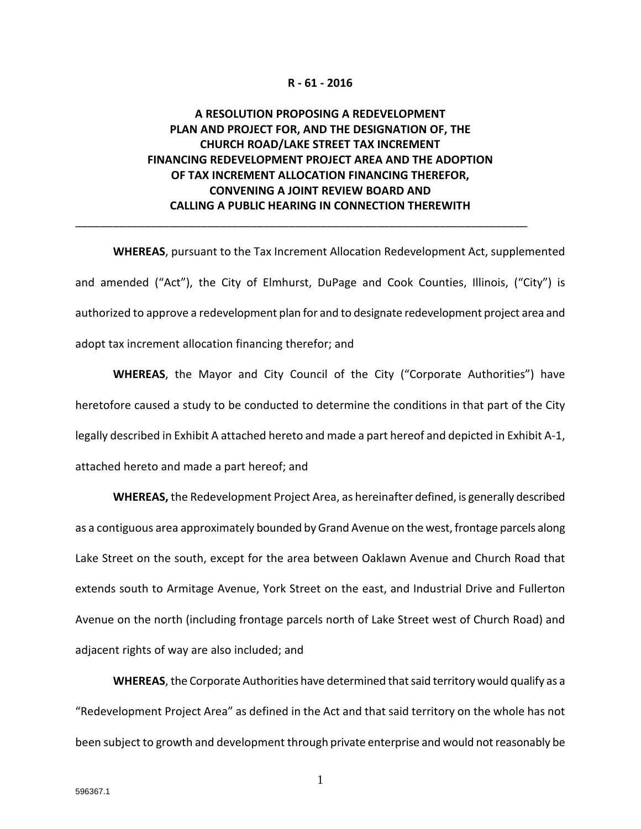#### **R - 61 - 2016**

# **A RESOLUTION PROPOSING A REDEVELOPMENT PLAN AND PROJECT FOR, AND THE DESIGNATION OF, THE CHURCH ROAD/LAKE STREET TAX INCREMENT FINANCING REDEVELOPMENT PROJECT AREA AND THE ADOPTION OF TAX INCREMENT ALLOCATION FINANCING THEREFOR, CONVENING A JOINT REVIEW BOARD AND CALLING A PUBLIC HEARING IN CONNECTION THEREWITH**

\_\_\_\_\_\_\_\_\_\_\_\_\_\_\_\_\_\_\_\_\_\_\_\_\_\_\_\_\_\_\_\_\_\_\_\_\_\_\_\_\_\_\_\_\_\_\_\_\_\_\_\_\_\_\_\_\_\_\_\_\_\_\_\_\_\_\_\_\_\_\_\_

**WHEREAS**, pursuant to the Tax Increment Allocation Redevelopment Act, supplemented and amended ("Act"), the City of Elmhurst, DuPage and Cook Counties, Illinois, ("City") is authorized to approve a redevelopment plan for and to designate redevelopment project area and adopt tax increment allocation financing therefor; and

**WHEREAS**, the Mayor and City Council of the City ("Corporate Authorities") have heretofore caused a study to be conducted to determine the conditions in that part of the City legally described in Exhibit A attached hereto and made a part hereof and depicted in Exhibit A-1, attached hereto and made a part hereof; and

**WHEREAS,** the Redevelopment Project Area, as hereinafter defined, is generally described as a contiguous area approximately bounded by Grand Avenue on the west, frontage parcels along Lake Street on the south, except for the area between Oaklawn Avenue and Church Road that extends south to Armitage Avenue, York Street on the east, and Industrial Drive and Fullerton Avenue on the north (including frontage parcels north of Lake Street west of Church Road) and adjacent rights of way are also included; and

**WHEREAS**, the Corporate Authorities have determined that said territory would qualify as a "Redevelopment Project Area" as defined in the Act and that said territory on the whole has not been subject to growth and development through private enterprise and would not reasonably be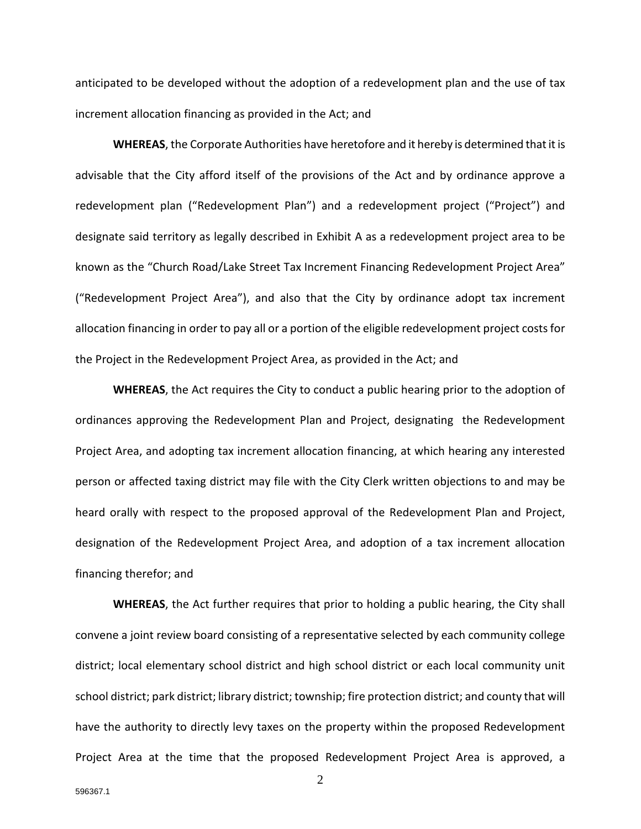anticipated to be developed without the adoption of a redevelopment plan and the use of tax increment allocation financing as provided in the Act; and

**WHEREAS**, the Corporate Authorities have heretofore and it hereby is determined that it is advisable that the City afford itself of the provisions of the Act and by ordinance approve a redevelopment plan ("Redevelopment Plan") and a redevelopment project ("Project") and designate said territory as legally described in Exhibit A as a redevelopment project area to be known as the "Church Road/Lake Street Tax Increment Financing Redevelopment Project Area" ("Redevelopment Project Area"), and also that the City by ordinance adopt tax increment allocation financing in order to pay all or a portion of the eligible redevelopment project costs for the Project in the Redevelopment Project Area, as provided in the Act; and

**WHEREAS**, the Act requires the City to conduct a public hearing prior to the adoption of ordinances approving the Redevelopment Plan and Project, designating the Redevelopment Project Area, and adopting tax increment allocation financing, at which hearing any interested person or affected taxing district may file with the City Clerk written objections to and may be heard orally with respect to the proposed approval of the Redevelopment Plan and Project, designation of the Redevelopment Project Area, and adoption of a tax increment allocation financing therefor; and

**WHEREAS**, the Act further requires that prior to holding a public hearing, the City shall convene a joint review board consisting of a representative selected by each community college district; local elementary school district and high school district or each local community unit school district; park district; library district; township; fire protection district; and county that will have the authority to directly levy taxes on the property within the proposed Redevelopment Project Area at the time that the proposed Redevelopment Project Area is approved, a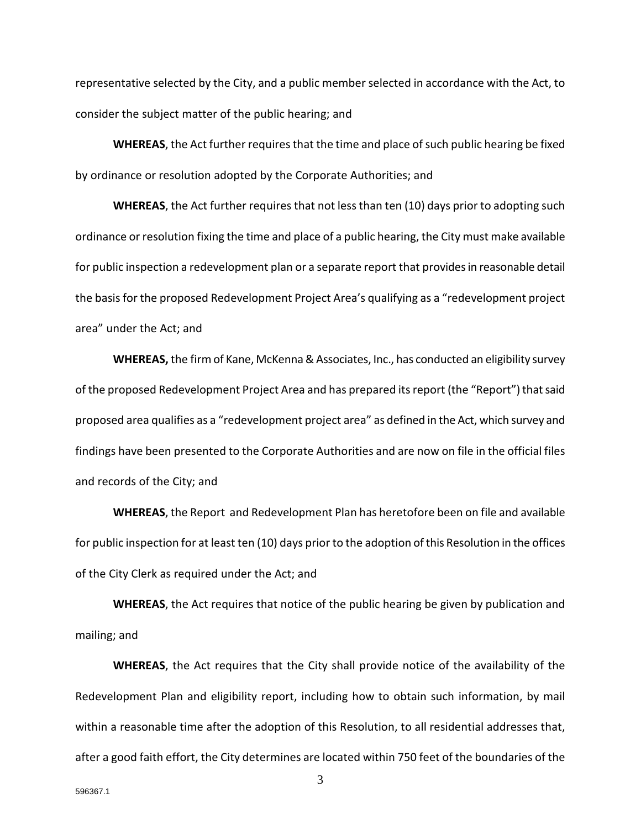representative selected by the City, and a public member selected in accordance with the Act, to consider the subject matter of the public hearing; and

**WHEREAS**, the Act further requires that the time and place of such public hearing be fixed by ordinance or resolution adopted by the Corporate Authorities; and

**WHEREAS**, the Act further requires that not less than ten (10) days prior to adopting such ordinance or resolution fixing the time and place of a public hearing, the City must make available for public inspection a redevelopment plan or a separate report that provides in reasonable detail the basis for the proposed Redevelopment Project Area's qualifying as a "redevelopment project area" under the Act; and

**WHEREAS,** the firm of Kane, McKenna & Associates, Inc., has conducted an eligibility survey of the proposed Redevelopment Project Area and has prepared its report (the "Report") that said proposed area qualifies as a "redevelopment project area" as defined in the Act, which survey and findings have been presented to the Corporate Authorities and are now on file in the official files and records of the City; and

**WHEREAS**, the Report and Redevelopment Plan has heretofore been on file and available for public inspection for at least ten (10) days prior to the adoption of this Resolution in the offices of the City Clerk as required under the Act; and

**WHEREAS**, the Act requires that notice of the public hearing be given by publication and mailing; and

**WHEREAS**, the Act requires that the City shall provide notice of the availability of the Redevelopment Plan and eligibility report, including how to obtain such information, by mail within a reasonable time after the adoption of this Resolution, to all residential addresses that, after a good faith effort, the City determines are located within 750 feet of the boundaries of the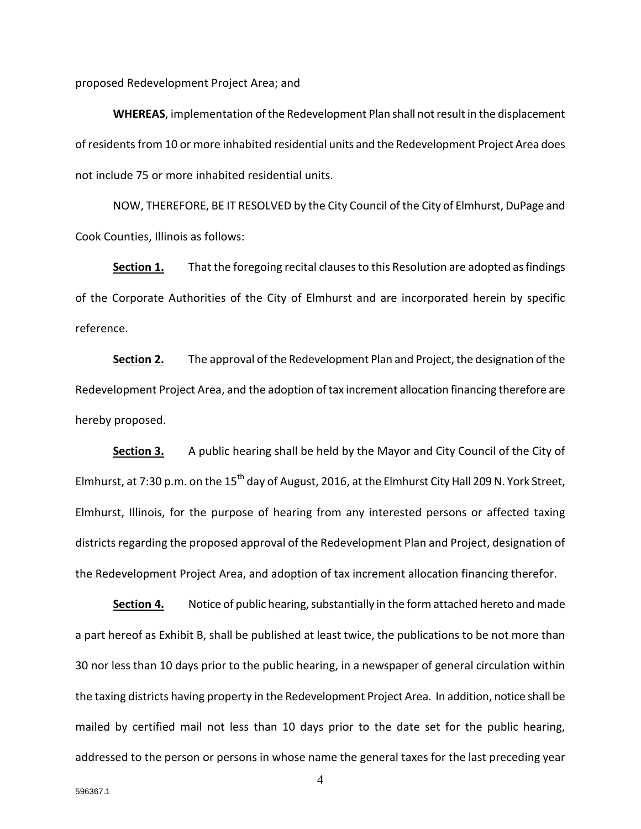proposed Redevelopment Project Area; and

**WHEREAS**, implementation of the Redevelopment Plan shall notresult in the displacement of residents from 10 or more inhabited residential units and the Redevelopment Project Area does not include 75 or more inhabited residential units.

NOW, THEREFORE, BE IT RESOLVED by the City Council of the City of Elmhurst, DuPage and Cook Counties, Illinois as follows:

**Section 1.** That the foregoing recital clauses to this Resolution are adopted as findings of the Corporate Authorities of the City of Elmhurst and are incorporated herein by specific reference.

**Section 2.** The approval of the Redevelopment Plan and Project, the designation of the Redevelopment Project Area, and the adoption of tax increment allocation financing therefore are hereby proposed.

**Section 3.** A public hearing shall be held by the Mayor and City Council of the City of Elmhurst, at 7:30 p.m. on the 15<sup>th</sup> day of August, 2016, at the Elmhurst City Hall 209 N. York Street, Elmhurst, Illinois, for the purpose of hearing from any interested persons or affected taxing districts regarding the proposed approval of the Redevelopment Plan and Project, designation of the Redevelopment Project Area, and adoption of tax increment allocation financing therefor.

**Section 4.** Notice of public hearing, substantially in the form attached hereto and made a part hereof as Exhibit B, shall be published at least twice, the publications to be not more than 30 nor less than 10 days prior to the public hearing, in a newspaper of general circulation within the taxing districts having property in the Redevelopment Project Area. In addition, notice shall be mailed by certified mail not less than 10 days prior to the date set for the public hearing, addressed to the person or persons in whose name the general taxes for the last preceding year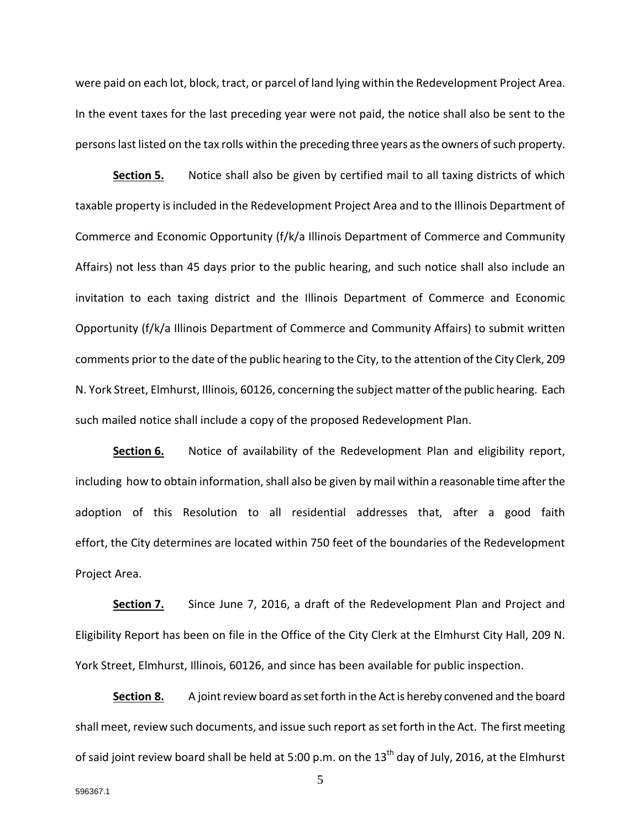were paid on each lot, block, tract, or parcel of land lying within the Redevelopment Project Area. In the event taxes for the last preceding year were not paid, the notice shall also be sent to the persons last listed on the tax rolls within the preceding three years as the owners of such property.

**Section 5.** Notice shall also be given by certified mail to all taxing districts of which taxable property is included in the Redevelopment Project Area and to the Illinois Department of Commerce and Economic Opportunity (f/k/a Illinois Department of Commerce and Community Affairs) not less than 45 days prior to the public hearing, and such notice shall also include an invitation to each taxing district and the Illinois Department of Commerce and Economic Opportunity (f/k/a Illinois Department of Commerce and Community Affairs) to submit written comments prior to the date of the public hearing to the City, to the attention of the City Clerk, 209 N. York Street, Elmhurst, Illinois, 60126, concerning the subject matter of the public hearing. Each such mailed notice shall include a copy of the proposed Redevelopment Plan.

**Section 6.** Notice of availability of the Redevelopment Plan and eligibility report, including how to obtain information, shall also be given by mail within a reasonable time after the adoption of this Resolution to all residential addresses that, after a good faith effort, the City determines are located within 750 feet of the boundaries of the Redevelopment Project Area.

Section 7. Since June 7, 2016, a draft of the Redevelopment Plan and Project and Eligibility Report has been on file in the Office of the City Clerk at the Elmhurst City Hall, 209 N. York Street, Elmhurst, Illinois, 60126, and since has been available for public inspection.

**Section 8.** A joint review board as set forth in the Act is hereby convened and the board shall meet, review such documents, and issue such report as set forth in the Act. The first meeting of said joint review board shall be held at 5:00 p.m. on the 13<sup>th</sup> day of July, 2016, at the Elmhurst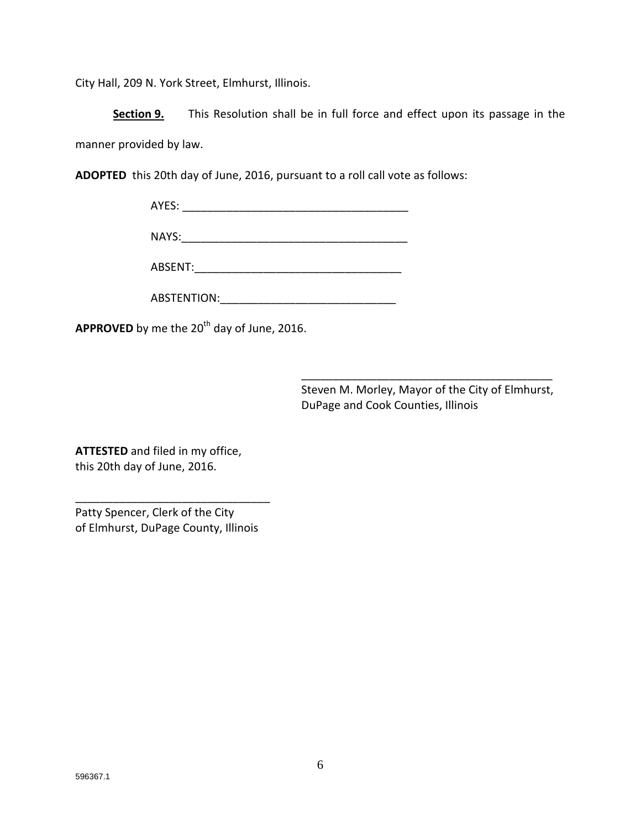City Hall, 209 N. York Street, Elmhurst, Illinois.

**Section 9.** This Resolution shall be in full force and effect upon its passage in the manner provided by law.

**ADOPTED** this 20th day of June, 2016, pursuant to a roll call vote as follows:

| AYES: |  |
|-------|--|
|       |  |

NAYS:\_\_\_\_\_\_\_\_\_\_\_\_\_\_\_\_\_\_\_\_\_\_\_\_\_\_\_\_\_\_\_\_\_\_\_\_

ABSENT:\_\_\_\_\_\_\_\_\_\_\_\_\_\_\_\_\_\_\_\_\_\_\_\_\_\_\_\_\_\_\_\_\_

ABSTENTION:\_\_\_\_\_\_\_\_\_\_\_\_\_\_\_\_\_\_\_\_\_\_\_\_\_\_\_\_

APPROVED by me the 20<sup>th</sup> day of June, 2016.

Steven M. Morley, Mayor of the City of Elmhurst, DuPage and Cook Counties, Illinois

\_\_\_\_\_\_\_\_\_\_\_\_\_\_\_\_\_\_\_\_\_\_\_\_\_\_\_\_\_\_\_\_\_\_\_\_\_\_\_\_

**ATTESTED** and filed in my office, this 20th day of June, 2016.

Patty Spencer, Clerk of the City of Elmhurst, DuPage County, Illinois

\_\_\_\_\_\_\_\_\_\_\_\_\_\_\_\_\_\_\_\_\_\_\_\_\_\_\_\_\_\_\_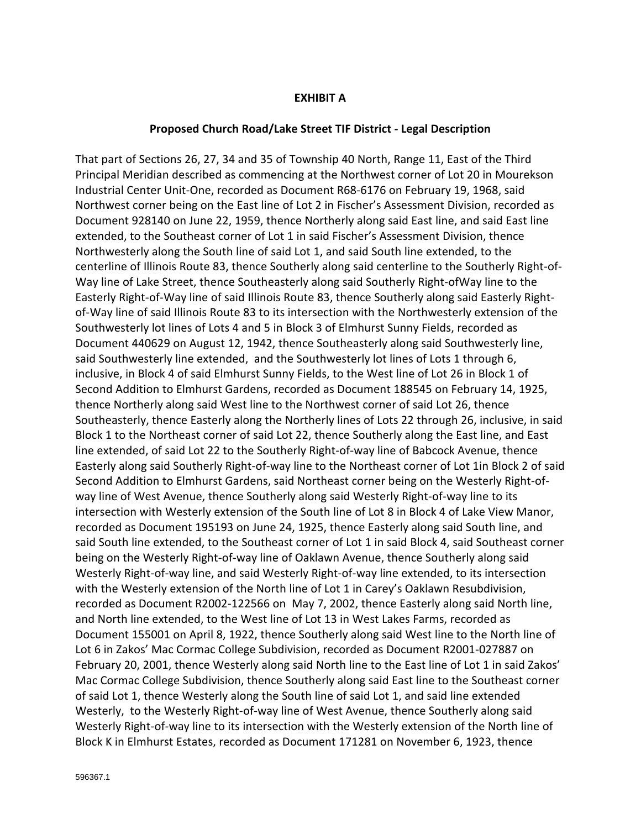### **EXHIBIT A**

#### **Proposed Church Road/Lake Street TIF District - Legal Description**

That part of Sections 26, 27, 34 and 35 of Township 40 North, Range 11, East of the Third Principal Meridian described as commencing at the Northwest corner of Lot 20 in Mourekson Industrial Center Unit-One, recorded as Document R68-6176 on February 19, 1968, said Northwest corner being on the East line of Lot 2 in Fischer's Assessment Division, recorded as Document 928140 on June 22, 1959, thence Northerly along said East line, and said East line extended, to the Southeast corner of Lot 1 in said Fischer's Assessment Division, thence Northwesterly along the South line of said Lot 1, and said South line extended, to the centerline of Illinois Route 83, thence Southerly along said centerline to the Southerly Right-of-Way line of Lake Street, thence Southeasterly along said Southerly Right-ofWay line to the Easterly Right-of-Way line of said Illinois Route 83, thence Southerly along said Easterly Rightof-Way line of said Illinois Route 83 to its intersection with the Northwesterly extension of the Southwesterly lot lines of Lots 4 and 5 in Block 3 of Elmhurst Sunny Fields, recorded as Document 440629 on August 12, 1942, thence Southeasterly along said Southwesterly line, said Southwesterly line extended, and the Southwesterly lot lines of Lots 1 through 6, inclusive, in Block 4 of said Elmhurst Sunny Fields, to the West line of Lot 26 in Block 1 of Second Addition to Elmhurst Gardens, recorded as Document 188545 on February 14, 1925, thence Northerly along said West line to the Northwest corner of said Lot 26, thence Southeasterly, thence Easterly along the Northerly lines of Lots 22 through 26, inclusive, in said Block 1 to the Northeast corner of said Lot 22, thence Southerly along the East line, and East line extended, of said Lot 22 to the Southerly Right-of-way line of Babcock Avenue, thence Easterly along said Southerly Right-of-way line to the Northeast corner of Lot 1in Block 2 of said Second Addition to Elmhurst Gardens, said Northeast corner being on the Westerly Right-ofway line of West Avenue, thence Southerly along said Westerly Right-of-way line to its intersection with Westerly extension of the South line of Lot 8 in Block 4 of Lake View Manor, recorded as Document 195193 on June 24, 1925, thence Easterly along said South line, and said South line extended, to the Southeast corner of Lot 1 in said Block 4, said Southeast corner being on the Westerly Right-of-way line of Oaklawn Avenue, thence Southerly along said Westerly Right-of-way line, and said Westerly Right-of-way line extended, to its intersection with the Westerly extension of the North line of Lot 1 in Carey's Oaklawn Resubdivision, recorded as Document R2002-122566 on May 7, 2002, thence Easterly along said North line, and North line extended, to the West line of Lot 13 in West Lakes Farms, recorded as Document 155001 on April 8, 1922, thence Southerly along said West line to the North line of Lot 6 in Zakos' Mac Cormac College Subdivision, recorded as Document R2001-027887 on February 20, 2001, thence Westerly along said North line to the East line of Lot 1 in said Zakos' Mac Cormac College Subdivision, thence Southerly along said East line to the Southeast corner of said Lot 1, thence Westerly along the South line of said Lot 1, and said line extended Westerly, to the Westerly Right-of-way line of West Avenue, thence Southerly along said Westerly Right-of-way line to its intersection with the Westerly extension of the North line of Block K in Elmhurst Estates, recorded as Document 171281 on November 6, 1923, thence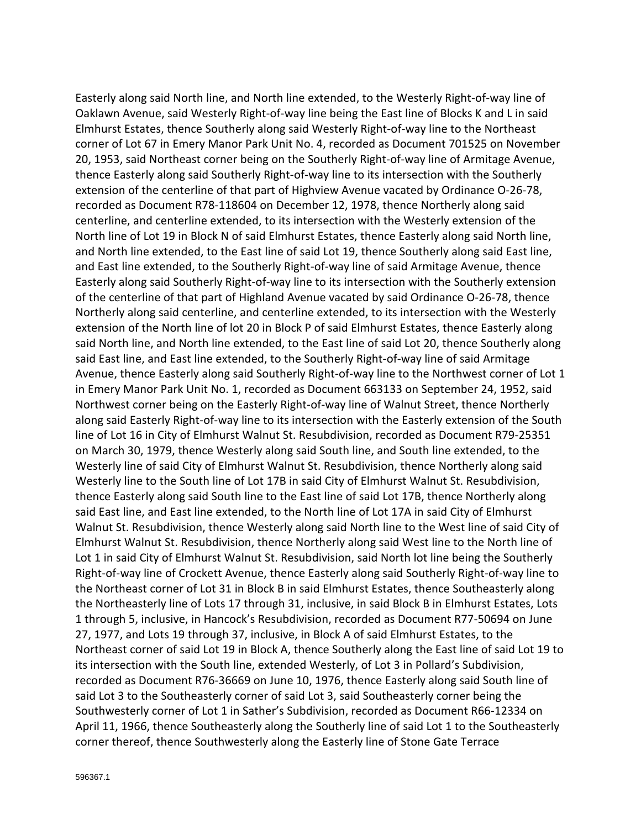Easterly along said North line, and North line extended, to the Westerly Right-of-way line of Oaklawn Avenue, said Westerly Right-of-way line being the East line of Blocks K and L in said Elmhurst Estates, thence Southerly along said Westerly Right-of-way line to the Northeast corner of Lot 67 in Emery Manor Park Unit No. 4, recorded as Document 701525 on November 20, 1953, said Northeast corner being on the Southerly Right-of-way line of Armitage Avenue, thence Easterly along said Southerly Right-of-way line to its intersection with the Southerly extension of the centerline of that part of Highview Avenue vacated by Ordinance O-26-78, recorded as Document R78-118604 on December 12, 1978, thence Northerly along said centerline, and centerline extended, to its intersection with the Westerly extension of the North line of Lot 19 in Block N of said Elmhurst Estates, thence Easterly along said North line, and North line extended, to the East line of said Lot 19, thence Southerly along said East line, and East line extended, to the Southerly Right-of-way line of said Armitage Avenue, thence Easterly along said Southerly Right-of-way line to its intersection with the Southerly extension of the centerline of that part of Highland Avenue vacated by said Ordinance O-26-78, thence Northerly along said centerline, and centerline extended, to its intersection with the Westerly extension of the North line of lot 20 in Block P of said Elmhurst Estates, thence Easterly along said North line, and North line extended, to the East line of said Lot 20, thence Southerly along said East line, and East line extended, to the Southerly Right-of-way line of said Armitage Avenue, thence Easterly along said Southerly Right-of-way line to the Northwest corner of Lot 1 in Emery Manor Park Unit No. 1, recorded as Document 663133 on September 24, 1952, said Northwest corner being on the Easterly Right-of-way line of Walnut Street, thence Northerly along said Easterly Right-of-way line to its intersection with the Easterly extension of the South line of Lot 16 in City of Elmhurst Walnut St. Resubdivision, recorded as Document R79-25351 on March 30, 1979, thence Westerly along said South line, and South line extended, to the Westerly line of said City of Elmhurst Walnut St. Resubdivision, thence Northerly along said Westerly line to the South line of Lot 17B in said City of Elmhurst Walnut St. Resubdivision, thence Easterly along said South line to the East line of said Lot 17B, thence Northerly along said East line, and East line extended, to the North line of Lot 17A in said City of Elmhurst Walnut St. Resubdivision, thence Westerly along said North line to the West line of said City of Elmhurst Walnut St. Resubdivision, thence Northerly along said West line to the North line of Lot 1 in said City of Elmhurst Walnut St. Resubdivision, said North lot line being the Southerly Right-of-way line of Crockett Avenue, thence Easterly along said Southerly Right-of-way line to the Northeast corner of Lot 31 in Block B in said Elmhurst Estates, thence Southeasterly along the Northeasterly line of Lots 17 through 31, inclusive, in said Block B in Elmhurst Estates, Lots 1 through 5, inclusive, in Hancock's Resubdivision, recorded as Document R77-50694 on June 27, 1977, and Lots 19 through 37, inclusive, in Block A of said Elmhurst Estates, to the Northeast corner of said Lot 19 in Block A, thence Southerly along the East line of said Lot 19 to its intersection with the South line, extended Westerly, of Lot 3 in Pollard's Subdivision, recorded as Document R76-36669 on June 10, 1976, thence Easterly along said South line of said Lot 3 to the Southeasterly corner of said Lot 3, said Southeasterly corner being the Southwesterly corner of Lot 1 in Sather's Subdivision, recorded as Document R66-12334 on April 11, 1966, thence Southeasterly along the Southerly line of said Lot 1 to the Southeasterly corner thereof, thence Southwesterly along the Easterly line of Stone Gate Terrace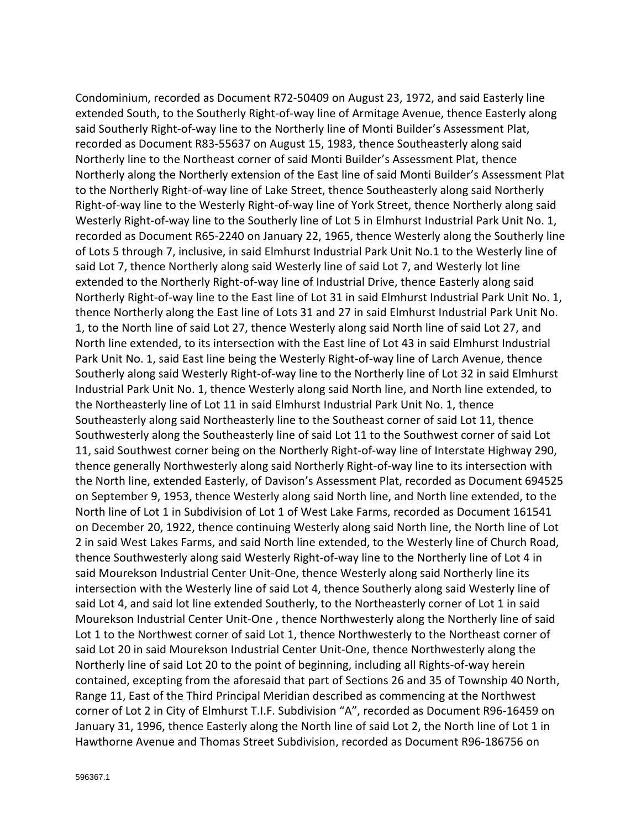Condominium, recorded as Document R72-50409 on August 23, 1972, and said Easterly line extended South, to the Southerly Right-of-way line of Armitage Avenue, thence Easterly along said Southerly Right-of-way line to the Northerly line of Monti Builder's Assessment Plat, recorded as Document R83-55637 on August 15, 1983, thence Southeasterly along said Northerly line to the Northeast corner of said Monti Builder's Assessment Plat, thence Northerly along the Northerly extension of the East line of said Monti Builder's Assessment Plat to the Northerly Right-of-way line of Lake Street, thence Southeasterly along said Northerly Right-of-way line to the Westerly Right-of-way line of York Street, thence Northerly along said Westerly Right-of-way line to the Southerly line of Lot 5 in Elmhurst Industrial Park Unit No. 1, recorded as Document R65-2240 on January 22, 1965, thence Westerly along the Southerly line of Lots 5 through 7, inclusive, in said Elmhurst Industrial Park Unit No.1 to the Westerly line of said Lot 7, thence Northerly along said Westerly line of said Lot 7, and Westerly lot line extended to the Northerly Right-of-way line of Industrial Drive, thence Easterly along said Northerly Right-of-way line to the East line of Lot 31 in said Elmhurst Industrial Park Unit No. 1, thence Northerly along the East line of Lots 31 and 27 in said Elmhurst Industrial Park Unit No. 1, to the North line of said Lot 27, thence Westerly along said North line of said Lot 27, and North line extended, to its intersection with the East line of Lot 43 in said Elmhurst Industrial Park Unit No. 1, said East line being the Westerly Right-of-way line of Larch Avenue, thence Southerly along said Westerly Right-of-way line to the Northerly line of Lot 32 in said Elmhurst Industrial Park Unit No. 1, thence Westerly along said North line, and North line extended, to the Northeasterly line of Lot 11 in said Elmhurst Industrial Park Unit No. 1, thence Southeasterly along said Northeasterly line to the Southeast corner of said Lot 11, thence Southwesterly along the Southeasterly line of said Lot 11 to the Southwest corner of said Lot 11, said Southwest corner being on the Northerly Right-of-way line of Interstate Highway 290, thence generally Northwesterly along said Northerly Right-of-way line to its intersection with the North line, extended Easterly, of Davison's Assessment Plat, recorded as Document 694525 on September 9, 1953, thence Westerly along said North line, and North line extended, to the North line of Lot 1 in Subdivision of Lot 1 of West Lake Farms, recorded as Document 161541 on December 20, 1922, thence continuing Westerly along said North line, the North line of Lot 2 in said West Lakes Farms, and said North line extended, to the Westerly line of Church Road, thence Southwesterly along said Westerly Right-of-way line to the Northerly line of Lot 4 in said Mourekson Industrial Center Unit-One, thence Westerly along said Northerly line its intersection with the Westerly line of said Lot 4, thence Southerly along said Westerly line of said Lot 4, and said lot line extended Southerly, to the Northeasterly corner of Lot 1 in said Mourekson Industrial Center Unit-One , thence Northwesterly along the Northerly line of said Lot 1 to the Northwest corner of said Lot 1, thence Northwesterly to the Northeast corner of said Lot 20 in said Mourekson Industrial Center Unit-One, thence Northwesterly along the Northerly line of said Lot 20 to the point of beginning, including all Rights-of-way herein contained, excepting from the aforesaid that part of Sections 26 and 35 of Township 40 North, Range 11, East of the Third Principal Meridian described as commencing at the Northwest corner of Lot 2 in City of Elmhurst T.I.F. Subdivision "A", recorded as Document R96-16459 on January 31, 1996, thence Easterly along the North line of said Lot 2, the North line of Lot 1 in Hawthorne Avenue and Thomas Street Subdivision, recorded as Document R96-186756 on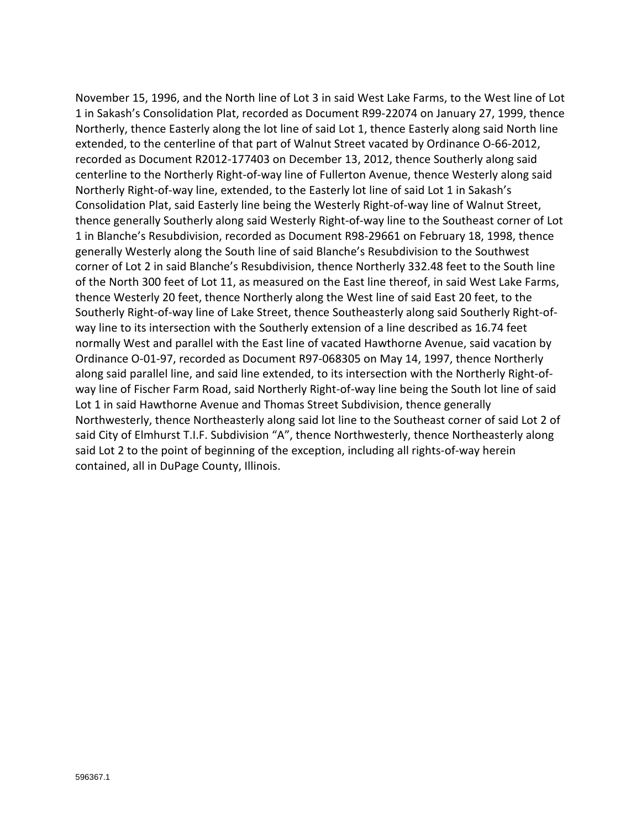November 15, 1996, and the North line of Lot 3 in said West Lake Farms, to the West line of Lot 1 in Sakash's Consolidation Plat, recorded as Document R99-22074 on January 27, 1999, thence Northerly, thence Easterly along the lot line of said Lot 1, thence Easterly along said North line extended, to the centerline of that part of Walnut Street vacated by Ordinance O-66-2012, recorded as Document R2012-177403 on December 13, 2012, thence Southerly along said centerline to the Northerly Right-of-way line of Fullerton Avenue, thence Westerly along said Northerly Right-of-way line, extended, to the Easterly lot line of said Lot 1 in Sakash's Consolidation Plat, said Easterly line being the Westerly Right-of-way line of Walnut Street, thence generally Southerly along said Westerly Right-of-way line to the Southeast corner of Lot 1 in Blanche's Resubdivision, recorded as Document R98-29661 on February 18, 1998, thence generally Westerly along the South line of said Blanche's Resubdivision to the Southwest corner of Lot 2 in said Blanche's Resubdivision, thence Northerly 332.48 feet to the South line of the North 300 feet of Lot 11, as measured on the East line thereof, in said West Lake Farms, thence Westerly 20 feet, thence Northerly along the West line of said East 20 feet, to the Southerly Right-of-way line of Lake Street, thence Southeasterly along said Southerly Right-ofway line to its intersection with the Southerly extension of a line described as 16.74 feet normally West and parallel with the East line of vacated Hawthorne Avenue, said vacation by Ordinance O-01-97, recorded as Document R97-068305 on May 14, 1997, thence Northerly along said parallel line, and said line extended, to its intersection with the Northerly Right-ofway line of Fischer Farm Road, said Northerly Right-of-way line being the South lot line of said Lot 1 in said Hawthorne Avenue and Thomas Street Subdivision, thence generally Northwesterly, thence Northeasterly along said lot line to the Southeast corner of said Lot 2 of said City of Elmhurst T.I.F. Subdivision "A", thence Northwesterly, thence Northeasterly along said Lot 2 to the point of beginning of the exception, including all rights-of-way herein contained, all in DuPage County, Illinois.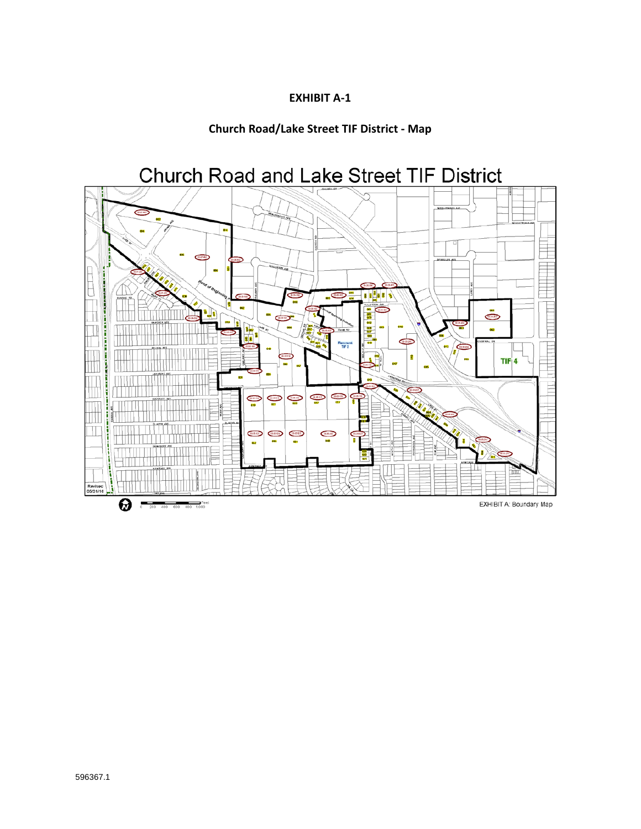## **EXHIBIT A-1**

## **Church Road/Lake Street TIF District - Map**

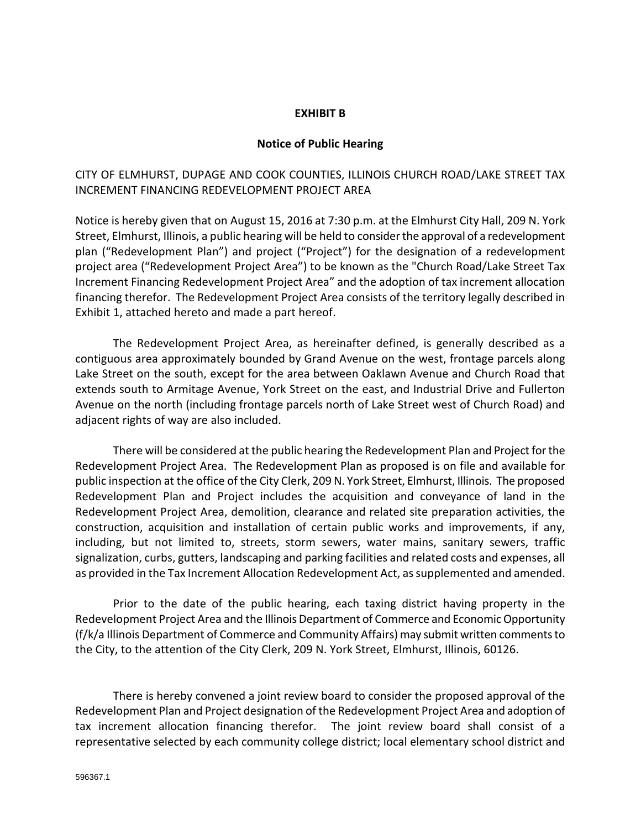### **EXHIBIT B**

#### **Notice of Public Hearing**

### CITY OF ELMHURST, DUPAGE AND COOK COUNTIES, ILLINOIS CHURCH ROAD/LAKE STREET TAX INCREMENT FINANCING REDEVELOPMENT PROJECT AREA

Notice is hereby given that on August 15, 2016 at 7:30 p.m. at the Elmhurst City Hall, 209 N. York Street, Elmhurst, Illinois, a public hearing will be held to consider the approval of a redevelopment plan ("Redevelopment Plan") and project ("Project") for the designation of a redevelopment project area ("Redevelopment Project Area") to be known as the "Church Road/Lake Street Tax Increment Financing Redevelopment Project Area" and the adoption of tax increment allocation financing therefor. The Redevelopment Project Area consists of the territory legally described in Exhibit 1, attached hereto and made a part hereof.

The Redevelopment Project Area, as hereinafter defined, is generally described as a contiguous area approximately bounded by Grand Avenue on the west, frontage parcels along Lake Street on the south, except for the area between Oaklawn Avenue and Church Road that extends south to Armitage Avenue, York Street on the east, and Industrial Drive and Fullerton Avenue on the north (including frontage parcels north of Lake Street west of Church Road) and adjacent rights of way are also included.

There will be considered at the public hearing the Redevelopment Plan and Project for the Redevelopment Project Area. The Redevelopment Plan as proposed is on file and available for public inspection at the office of the City Clerk, 209 N. York Street, Elmhurst, Illinois. The proposed Redevelopment Plan and Project includes the acquisition and conveyance of land in the Redevelopment Project Area, demolition, clearance and related site preparation activities, the construction, acquisition and installation of certain public works and improvements, if any, including, but not limited to, streets, storm sewers, water mains, sanitary sewers, traffic signalization, curbs, gutters, landscaping and parking facilities and related costs and expenses, all as provided in the Tax Increment Allocation Redevelopment Act, as supplemented and amended.

Prior to the date of the public hearing, each taxing district having property in the Redevelopment Project Area and the Illinois Department of Commerce and Economic Opportunity (f/k/a Illinois Department of Commerce and Community Affairs) may submit written comments to the City, to the attention of the City Clerk, 209 N. York Street, Elmhurst, Illinois, 60126.

There is hereby convened a joint review board to consider the proposed approval of the Redevelopment Plan and Project designation of the Redevelopment Project Area and adoption of tax increment allocation financing therefor. The joint review board shall consist of a representative selected by each community college district; local elementary school district and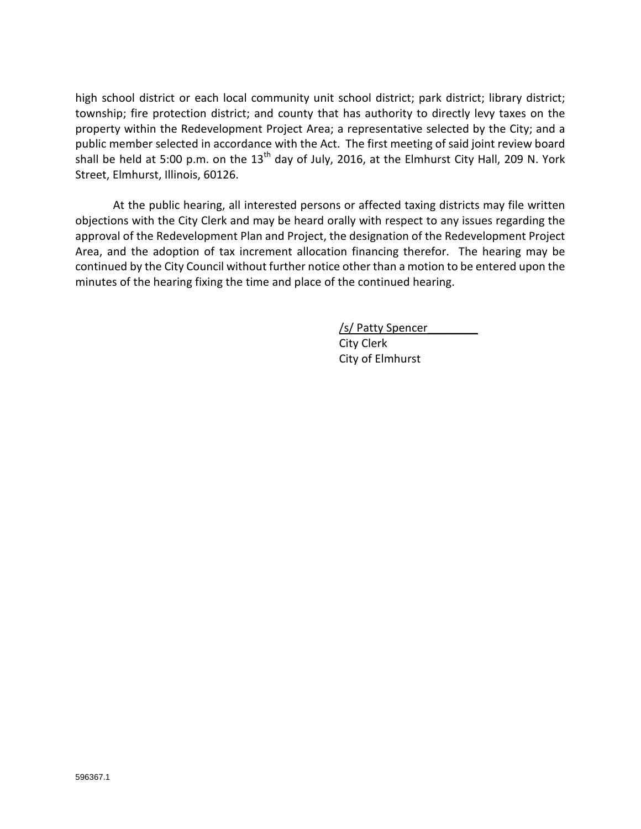high school district or each local community unit school district; park district; library district; township; fire protection district; and county that has authority to directly levy taxes on the property within the Redevelopment Project Area; a representative selected by the City; and a public member selected in accordance with the Act. The first meeting of said joint review board shall be held at 5:00 p.m. on the  $13<sup>th</sup>$  day of July, 2016, at the Elmhurst City Hall, 209 N. York Street, Elmhurst, Illinois, 60126.

At the public hearing, all interested persons or affected taxing districts may file written objections with the City Clerk and may be heard orally with respect to any issues regarding the approval of the Redevelopment Plan and Project, the designation of the Redevelopment Project Area, and the adoption of tax increment allocation financing therefor. The hearing may be continued by the City Council without further notice other than a motion to be entered upon the minutes of the hearing fixing the time and place of the continued hearing.

> /s/ Patty Spencer City Clerk City of Elmhurst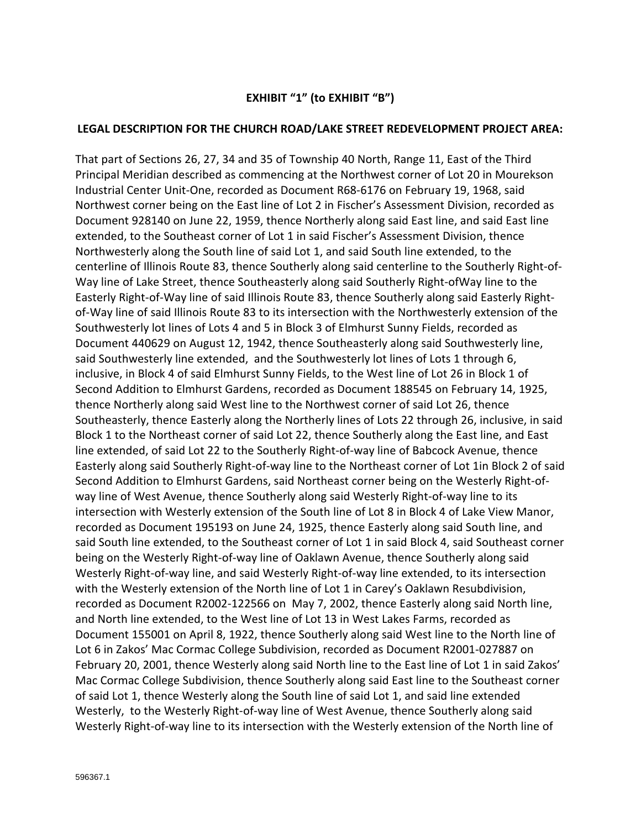## **EXHIBIT "1" (to EXHIBIT "B")**

### **LEGAL DESCRIPTION FOR THE CHURCH ROAD/LAKE STREET REDEVELOPMENT PROJECT AREA:**

That part of Sections 26, 27, 34 and 35 of Township 40 North, Range 11, East of the Third Principal Meridian described as commencing at the Northwest corner of Lot 20 in Mourekson Industrial Center Unit-One, recorded as Document R68-6176 on February 19, 1968, said Northwest corner being on the East line of Lot 2 in Fischer's Assessment Division, recorded as Document 928140 on June 22, 1959, thence Northerly along said East line, and said East line extended, to the Southeast corner of Lot 1 in said Fischer's Assessment Division, thence Northwesterly along the South line of said Lot 1, and said South line extended, to the centerline of Illinois Route 83, thence Southerly along said centerline to the Southerly Right-of-Way line of Lake Street, thence Southeasterly along said Southerly Right-ofWay line to the Easterly Right-of-Way line of said Illinois Route 83, thence Southerly along said Easterly Rightof-Way line of said Illinois Route 83 to its intersection with the Northwesterly extension of the Southwesterly lot lines of Lots 4 and 5 in Block 3 of Elmhurst Sunny Fields, recorded as Document 440629 on August 12, 1942, thence Southeasterly along said Southwesterly line, said Southwesterly line extended, and the Southwesterly lot lines of Lots 1 through 6, inclusive, in Block 4 of said Elmhurst Sunny Fields, to the West line of Lot 26 in Block 1 of Second Addition to Elmhurst Gardens, recorded as Document 188545 on February 14, 1925, thence Northerly along said West line to the Northwest corner of said Lot 26, thence Southeasterly, thence Easterly along the Northerly lines of Lots 22 through 26, inclusive, in said Block 1 to the Northeast corner of said Lot 22, thence Southerly along the East line, and East line extended, of said Lot 22 to the Southerly Right-of-way line of Babcock Avenue, thence Easterly along said Southerly Right-of-way line to the Northeast corner of Lot 1in Block 2 of said Second Addition to Elmhurst Gardens, said Northeast corner being on the Westerly Right-ofway line of West Avenue, thence Southerly along said Westerly Right-of-way line to its intersection with Westerly extension of the South line of Lot 8 in Block 4 of Lake View Manor, recorded as Document 195193 on June 24, 1925, thence Easterly along said South line, and said South line extended, to the Southeast corner of Lot 1 in said Block 4, said Southeast corner being on the Westerly Right-of-way line of Oaklawn Avenue, thence Southerly along said Westerly Right-of-way line, and said Westerly Right-of-way line extended, to its intersection with the Westerly extension of the North line of Lot 1 in Carey's Oaklawn Resubdivision, recorded as Document R2002-122566 on May 7, 2002, thence Easterly along said North line, and North line extended, to the West line of Lot 13 in West Lakes Farms, recorded as Document 155001 on April 8, 1922, thence Southerly along said West line to the North line of Lot 6 in Zakos' Mac Cormac College Subdivision, recorded as Document R2001-027887 on February 20, 2001, thence Westerly along said North line to the East line of Lot 1 in said Zakos' Mac Cormac College Subdivision, thence Southerly along said East line to the Southeast corner of said Lot 1, thence Westerly along the South line of said Lot 1, and said line extended Westerly, to the Westerly Right-of-way line of West Avenue, thence Southerly along said Westerly Right-of-way line to its intersection with the Westerly extension of the North line of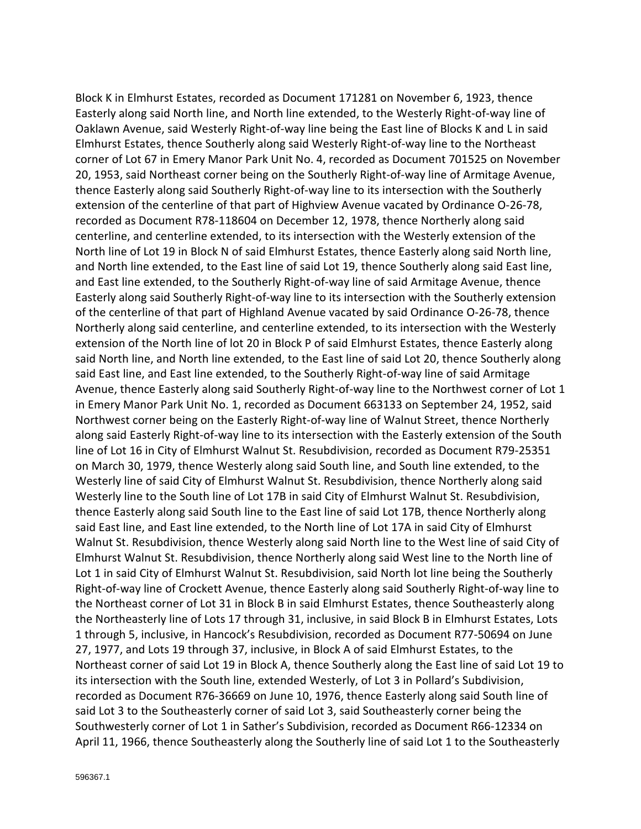Block K in Elmhurst Estates, recorded as Document 171281 on November 6, 1923, thence Easterly along said North line, and North line extended, to the Westerly Right-of-way line of Oaklawn Avenue, said Westerly Right-of-way line being the East line of Blocks K and L in said Elmhurst Estates, thence Southerly along said Westerly Right-of-way line to the Northeast corner of Lot 67 in Emery Manor Park Unit No. 4, recorded as Document 701525 on November 20, 1953, said Northeast corner being on the Southerly Right-of-way line of Armitage Avenue, thence Easterly along said Southerly Right-of-way line to its intersection with the Southerly extension of the centerline of that part of Highview Avenue vacated by Ordinance O-26-78, recorded as Document R78-118604 on December 12, 1978, thence Northerly along said centerline, and centerline extended, to its intersection with the Westerly extension of the North line of Lot 19 in Block N of said Elmhurst Estates, thence Easterly along said North line, and North line extended, to the East line of said Lot 19, thence Southerly along said East line, and East line extended, to the Southerly Right-of-way line of said Armitage Avenue, thence Easterly along said Southerly Right-of-way line to its intersection with the Southerly extension of the centerline of that part of Highland Avenue vacated by said Ordinance O-26-78, thence Northerly along said centerline, and centerline extended, to its intersection with the Westerly extension of the North line of lot 20 in Block P of said Elmhurst Estates, thence Easterly along said North line, and North line extended, to the East line of said Lot 20, thence Southerly along said East line, and East line extended, to the Southerly Right-of-way line of said Armitage Avenue, thence Easterly along said Southerly Right-of-way line to the Northwest corner of Lot 1 in Emery Manor Park Unit No. 1, recorded as Document 663133 on September 24, 1952, said Northwest corner being on the Easterly Right-of-way line of Walnut Street, thence Northerly along said Easterly Right-of-way line to its intersection with the Easterly extension of the South line of Lot 16 in City of Elmhurst Walnut St. Resubdivision, recorded as Document R79-25351 on March 30, 1979, thence Westerly along said South line, and South line extended, to the Westerly line of said City of Elmhurst Walnut St. Resubdivision, thence Northerly along said Westerly line to the South line of Lot 17B in said City of Elmhurst Walnut St. Resubdivision, thence Easterly along said South line to the East line of said Lot 17B, thence Northerly along said East line, and East line extended, to the North line of Lot 17A in said City of Elmhurst Walnut St. Resubdivision, thence Westerly along said North line to the West line of said City of Elmhurst Walnut St. Resubdivision, thence Northerly along said West line to the North line of Lot 1 in said City of Elmhurst Walnut St. Resubdivision, said North lot line being the Southerly Right-of-way line of Crockett Avenue, thence Easterly along said Southerly Right-of-way line to the Northeast corner of Lot 31 in Block B in said Elmhurst Estates, thence Southeasterly along the Northeasterly line of Lots 17 through 31, inclusive, in said Block B in Elmhurst Estates, Lots 1 through 5, inclusive, in Hancock's Resubdivision, recorded as Document R77-50694 on June 27, 1977, and Lots 19 through 37, inclusive, in Block A of said Elmhurst Estates, to the Northeast corner of said Lot 19 in Block A, thence Southerly along the East line of said Lot 19 to its intersection with the South line, extended Westerly, of Lot 3 in Pollard's Subdivision, recorded as Document R76-36669 on June 10, 1976, thence Easterly along said South line of said Lot 3 to the Southeasterly corner of said Lot 3, said Southeasterly corner being the Southwesterly corner of Lot 1 in Sather's Subdivision, recorded as Document R66-12334 on April 11, 1966, thence Southeasterly along the Southerly line of said Lot 1 to the Southeasterly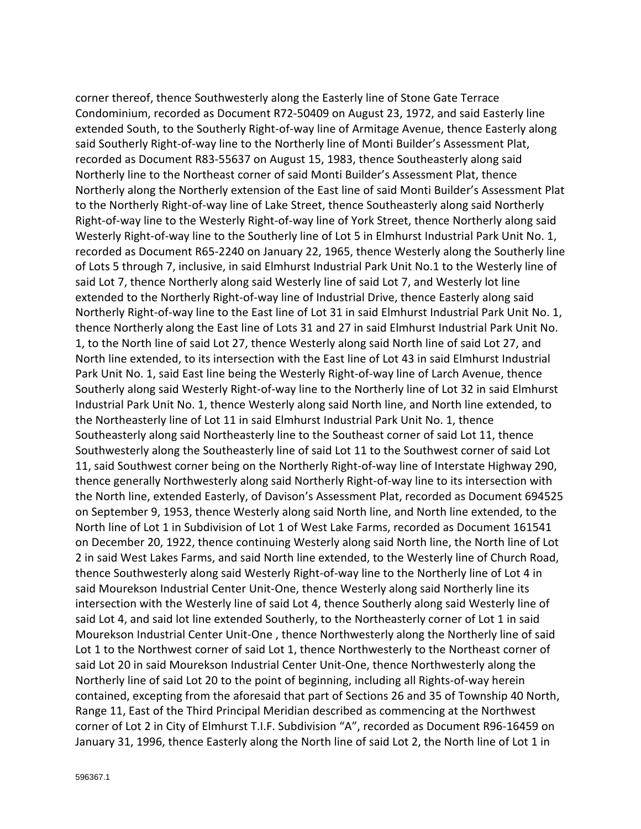corner thereof, thence Southwesterly along the Easterly line of Stone Gate Terrace Condominium, recorded as Document R72-50409 on August 23, 1972, and said Easterly line extended South, to the Southerly Right-of-way line of Armitage Avenue, thence Easterly along said Southerly Right-of-way line to the Northerly line of Monti Builder's Assessment Plat, recorded as Document R83-55637 on August 15, 1983, thence Southeasterly along said Northerly line to the Northeast corner of said Monti Builder's Assessment Plat, thence Northerly along the Northerly extension of the East line of said Monti Builder's Assessment Plat to the Northerly Right-of-way line of Lake Street, thence Southeasterly along said Northerly Right-of-way line to the Westerly Right-of-way line of York Street, thence Northerly along said Westerly Right-of-way line to the Southerly line of Lot 5 in Elmhurst Industrial Park Unit No. 1, recorded as Document R65-2240 on January 22, 1965, thence Westerly along the Southerly line of Lots 5 through 7, inclusive, in said Elmhurst Industrial Park Unit No.1 to the Westerly line of said Lot 7, thence Northerly along said Westerly line of said Lot 7, and Westerly lot line extended to the Northerly Right-of-way line of Industrial Drive, thence Easterly along said Northerly Right-of-way line to the East line of Lot 31 in said Elmhurst Industrial Park Unit No. 1, thence Northerly along the East line of Lots 31 and 27 in said Elmhurst Industrial Park Unit No. 1, to the North line of said Lot 27, thence Westerly along said North line of said Lot 27, and North line extended, to its intersection with the East line of Lot 43 in said Elmhurst Industrial Park Unit No. 1, said East line being the Westerly Right-of-way line of Larch Avenue, thence Southerly along said Westerly Right-of-way line to the Northerly line of Lot 32 in said Elmhurst Industrial Park Unit No. 1, thence Westerly along said North line, and North line extended, to the Northeasterly line of Lot 11 in said Elmhurst Industrial Park Unit No. 1, thence Southeasterly along said Northeasterly line to the Southeast corner of said Lot 11, thence Southwesterly along the Southeasterly line of said Lot 11 to the Southwest corner of said Lot 11, said Southwest corner being on the Northerly Right-of-way line of Interstate Highway 290, thence generally Northwesterly along said Northerly Right-of-way line to its intersection with the North line, extended Easterly, of Davison's Assessment Plat, recorded as Document 694525 on September 9, 1953, thence Westerly along said North line, and North line extended, to the North line of Lot 1 in Subdivision of Lot 1 of West Lake Farms, recorded as Document 161541 on December 20, 1922, thence continuing Westerly along said North line, the North line of Lot 2 in said West Lakes Farms, and said North line extended, to the Westerly line of Church Road, thence Southwesterly along said Westerly Right-of-way line to the Northerly line of Lot 4 in said Mourekson Industrial Center Unit-One, thence Westerly along said Northerly line its intersection with the Westerly line of said Lot 4, thence Southerly along said Westerly line of said Lot 4, and said lot line extended Southerly, to the Northeasterly corner of Lot 1 in said Mourekson Industrial Center Unit-One , thence Northwesterly along the Northerly line of said Lot 1 to the Northwest corner of said Lot 1, thence Northwesterly to the Northeast corner of said Lot 20 in said Mourekson Industrial Center Unit-One, thence Northwesterly along the Northerly line of said Lot 20 to the point of beginning, including all Rights-of-way herein contained, excepting from the aforesaid that part of Sections 26 and 35 of Township 40 North, Range 11, East of the Third Principal Meridian described as commencing at the Northwest corner of Lot 2 in City of Elmhurst T.I.F. Subdivision "A", recorded as Document R96-16459 on January 31, 1996, thence Easterly along the North line of said Lot 2, the North line of Lot 1 in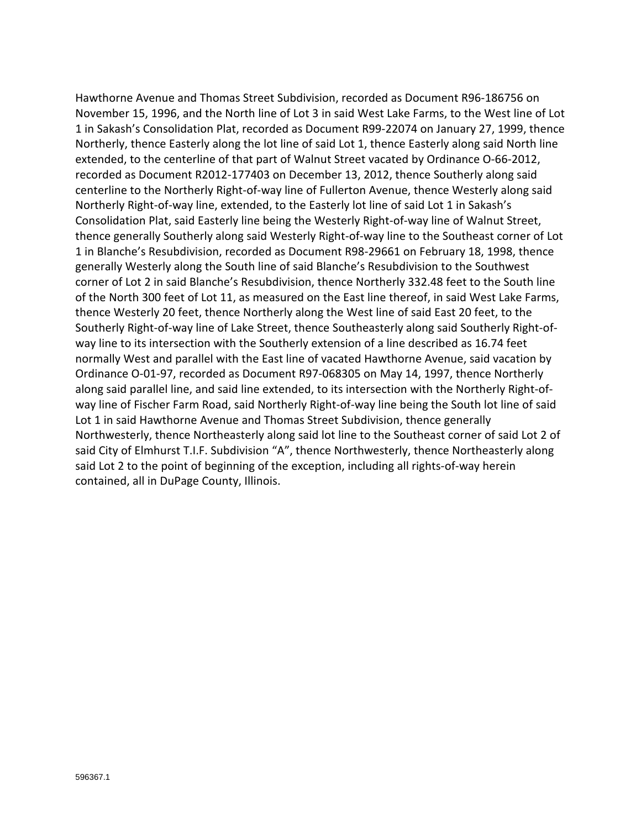Hawthorne Avenue and Thomas Street Subdivision, recorded as Document R96-186756 on November 15, 1996, and the North line of Lot 3 in said West Lake Farms, to the West line of Lot 1 in Sakash's Consolidation Plat, recorded as Document R99-22074 on January 27, 1999, thence Northerly, thence Easterly along the lot line of said Lot 1, thence Easterly along said North line extended, to the centerline of that part of Walnut Street vacated by Ordinance O-66-2012, recorded as Document R2012-177403 on December 13, 2012, thence Southerly along said centerline to the Northerly Right-of-way line of Fullerton Avenue, thence Westerly along said Northerly Right-of-way line, extended, to the Easterly lot line of said Lot 1 in Sakash's Consolidation Plat, said Easterly line being the Westerly Right-of-way line of Walnut Street, thence generally Southerly along said Westerly Right-of-way line to the Southeast corner of Lot 1 in Blanche's Resubdivision, recorded as Document R98-29661 on February 18, 1998, thence generally Westerly along the South line of said Blanche's Resubdivision to the Southwest corner of Lot 2 in said Blanche's Resubdivision, thence Northerly 332.48 feet to the South line of the North 300 feet of Lot 11, as measured on the East line thereof, in said West Lake Farms, thence Westerly 20 feet, thence Northerly along the West line of said East 20 feet, to the Southerly Right-of-way line of Lake Street, thence Southeasterly along said Southerly Right-ofway line to its intersection with the Southerly extension of a line described as 16.74 feet normally West and parallel with the East line of vacated Hawthorne Avenue, said vacation by Ordinance O-01-97, recorded as Document R97-068305 on May 14, 1997, thence Northerly along said parallel line, and said line extended, to its intersection with the Northerly Right-ofway line of Fischer Farm Road, said Northerly Right-of-way line being the South lot line of said Lot 1 in said Hawthorne Avenue and Thomas Street Subdivision, thence generally Northwesterly, thence Northeasterly along said lot line to the Southeast corner of said Lot 2 of said City of Elmhurst T.I.F. Subdivision "A", thence Northwesterly, thence Northeasterly along said Lot 2 to the point of beginning of the exception, including all rights-of-way herein contained, all in DuPage County, Illinois.